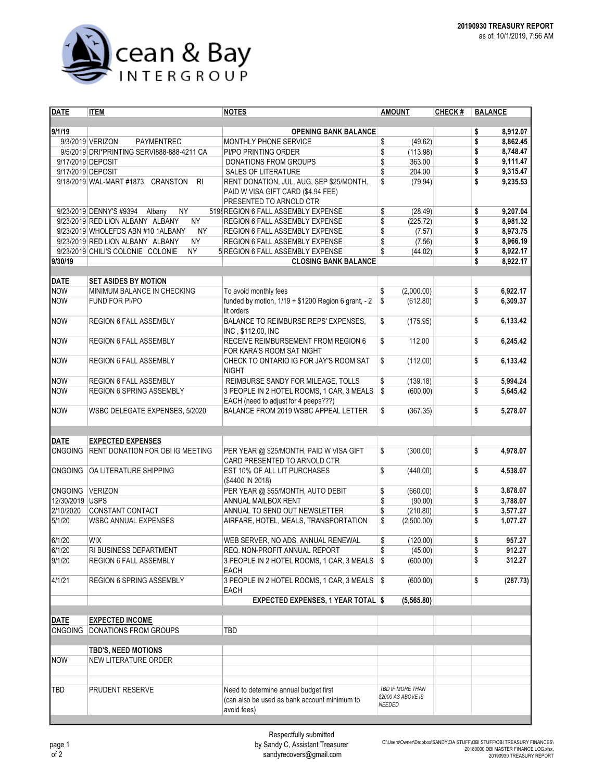

| <b>DATE</b>     | <b>ITEM</b>                                             | <b>NOTES</b>                                                               | <b>AMOUNT</b>                          | <b>CHECK#</b> | <b>BALANCE</b> |          |  |  |  |
|-----------------|---------------------------------------------------------|----------------------------------------------------------------------------|----------------------------------------|---------------|----------------|----------|--|--|--|
|                 |                                                         |                                                                            |                                        |               |                |          |  |  |  |
| 9/1/19          |                                                         | <b>OPENING BANK BALANCE</b>                                                |                                        |               | \$             | 8,912.07 |  |  |  |
|                 | 9/3/2019 VERIZON<br><b>PAYMENTREC</b>                   | MONTHLY PHONE SERVICE                                                      | \$<br>(49.62)                          |               | \$             | 8,862.45 |  |  |  |
|                 | 9/5/2019 DRI*PRINTING SERVI888-888-4211 CA              | PI/PO PRINTING ORDER                                                       | \$<br>(113.98)                         |               | \$             | 8,748.47 |  |  |  |
|                 | 9/17/2019 DEPOSIT                                       | DONATIONS FROM GROUPS                                                      | \$<br>363.00                           |               | \$             | 9,111.47 |  |  |  |
|                 | 9/17/2019 DEPOSIT                                       | <b>SALES OF LITERATURE</b>                                                 | \$<br>204.00                           |               | \$             | 9,315.47 |  |  |  |
|                 | 9/18/2019 WAL-MART #1873 CRANSTON<br>R <sub>l</sub>     | RENT DONATION, JUL, AUG, SEP \$25/MONTH,                                   | \$<br>(79.94)                          |               | \$             | 9,235.53 |  |  |  |
|                 |                                                         | PAID W VISA GIFT CARD (\$4.94 FEE)                                         |                                        |               |                |          |  |  |  |
|                 |                                                         | PRESENTED TO ARNOLD CTR                                                    |                                        |               |                |          |  |  |  |
|                 | 9/23/2019 DENNY'S #9394<br>Albany<br><b>NY</b>          | 519 REGION 6 FALL ASSEMBLY EXPENSE                                         | \$<br>(28.49)                          |               | \$             | 9,207.04 |  |  |  |
|                 | 9/23/2019 RED LION ALBANY ALBANY<br><b>NY</b>           | REGION 6 FALL ASSEMBLY EXPENSE                                             | \$<br>(225.72)                         |               | \$             | 8,981.32 |  |  |  |
|                 | 9/23/2019 WHOLEFDS ABN #10 1ALBANY<br><b>NY</b>         | REGION 6 FALL ASSEMBLY EXPENSE                                             | \$<br>(7.57)                           |               | \$             | 8,973.75 |  |  |  |
|                 | 9/23/2019 RED LION ALBANY ALBANY<br><b>NY</b>           | REGION 6 FALL ASSEMBLY EXPENSE                                             | \$<br>(7.56)                           |               | \$             | 8,966.19 |  |  |  |
|                 | 9/23/2019 CHILI'S COLONIE COLONIE<br><b>NY</b>          | 5 REGION 6 FALL ASSEMBLY EXPENSE                                           | \$<br>(44.02)                          |               | \$             | 8,922.17 |  |  |  |
| 9/30/19         |                                                         | <b>CLOSING BANK BALANCE</b>                                                |                                        |               | \$             | 8,922.17 |  |  |  |
|                 |                                                         |                                                                            |                                        |               |                |          |  |  |  |
| DATE            | <b>SET ASIDES BY MOTION</b>                             |                                                                            |                                        |               |                |          |  |  |  |
| <b>NOW</b>      | MINIMUM BALANCE IN CHECKING                             | To avoid monthly fees                                                      | \$<br>(2,000.00)                       |               | \$             | 6,922.17 |  |  |  |
| <b>NOW</b>      | FUND FOR PI/PO                                          | funded by motion, 1/19 + \$1200 Region 6 grant, - 2                        | \$<br>(612.80)                         |               | \$             | 6,309.37 |  |  |  |
|                 |                                                         | lit orders                                                                 |                                        |               |                |          |  |  |  |
| <b>NOW</b>      | REGION 6 FALL ASSEMBLY                                  | BALANCE TO REIMBURSE REPS' EXPENSES,                                       | \$<br>(175.95)                         |               | \$             | 6,133.42 |  |  |  |
|                 |                                                         | INC, \$112.00, INC                                                         |                                        |               |                |          |  |  |  |
| <b>NOW</b>      | REGION 6 FALL ASSEMBLY                                  | RECEIVE REIMBURSEMENT FROM REGION 6                                        | \$<br>112.00                           |               | \$             | 6,245.42 |  |  |  |
|                 |                                                         | FOR KARA'S ROOM SAT NIGHT                                                  |                                        |               |                |          |  |  |  |
| <b>NOW</b>      | REGION 6 FALL ASSEMBLY                                  | CHECK TO ONTARIO IG FOR JAY'S ROOM SAT                                     | \$<br>(112.00)                         |               | \$             | 6,133.42 |  |  |  |
|                 |                                                         | <b>NIGHT</b>                                                               |                                        |               |                |          |  |  |  |
| <b>NOW</b>      | <b>REGION 6 FALL ASSEMBLY</b>                           | REIMBURSE SANDY FOR MILEAGE, TOLLS                                         | \$<br>(139.18)                         |               | \$             | 5,994.24 |  |  |  |
| <b>NOW</b>      | <b>REGION 6 SPRING ASSEMBLY</b>                         | 3 PEOPLE IN 2 HOTEL ROOMS, 1 CAR, 3 MEALS                                  | \$<br>(600.00)                         |               | \$             | 5,645.42 |  |  |  |
|                 |                                                         | EACH (need to adjust for 4 peeps???)                                       |                                        |               |                |          |  |  |  |
| <b>NOW</b>      | WSBC DELEGATE EXPENSES, 5/2020                          | BALANCE FROM 2019 WSBC APPEAL LETTER                                       | \$<br>(367.35)                         |               | \$             | 5,278.07 |  |  |  |
|                 |                                                         |                                                                            |                                        |               |                |          |  |  |  |
|                 |                                                         |                                                                            |                                        |               |                |          |  |  |  |
| <b>DATE</b>     | <b>EXPECTED EXPENSES</b>                                |                                                                            |                                        |               |                |          |  |  |  |
| <b>ONGOING</b>  | <b>RENT DONATION FOR OBI IG MEETING</b>                 | PER YEAR @ \$25/MONTH, PAID W VISA GIFT                                    | \$<br>(300.00)                         |               | \$             | 4,978.07 |  |  |  |
|                 |                                                         | CARD PRESENTED TO ARNOLD CTR                                               |                                        |               |                |          |  |  |  |
|                 | ONGOING OA LITERATURE SHIPPING                          | EST 10% OF ALL LIT PURCHASES                                               | \$<br>(440.00)                         |               | \$             | 4,538.07 |  |  |  |
|                 |                                                         | (\$4400 IN 2018)                                                           |                                        |               |                |          |  |  |  |
| ONGOING VERIZON |                                                         | PER YEAR @ \$55/MONTH, AUTO DEBIT                                          | \$<br>(660.00)                         |               | \$             | 3,878.07 |  |  |  |
| 12/30/2019 USPS |                                                         | ANNUAL MAILBOX RENT                                                        | \$<br>(90.00)                          |               | \$             | 3,788.07 |  |  |  |
| 2/10/2020       | <b>CONSTANT CONTACT</b>                                 | ANNUAL TO SEND OUT NEWSLETTER                                              | \$<br>(210.80)                         |               | \$             | 3,577.27 |  |  |  |
| 5/1/20          | <b>WSBC ANNUAL EXPENSES</b>                             | AIRFARE, HOTEL, MEALS, TRANSPORTATION                                      | \$<br>(2,500.00)                       |               | \$             | 1,077.27 |  |  |  |
|                 |                                                         |                                                                            |                                        |               |                |          |  |  |  |
| 6/1/20          | <b>WIX</b>                                              | WEB SERVER, NO ADS, ANNUAL RENEWAL                                         | \$<br>(120.00)                         |               | \$             | 957.27   |  |  |  |
|                 |                                                         |                                                                            |                                        |               | \$             | 912.27   |  |  |  |
| 6/1/20          | RI BUSINESS DEPARTMENT<br><b>REGION 6 FALL ASSEMBLY</b> | REQ. NON-PROFIT ANNUAL REPORT<br>3 PEOPLE IN 2 HOTEL ROOMS, 1 CAR, 3 MEALS | \$<br>(45.00)                          |               |                |          |  |  |  |
| 9/1/20          |                                                         |                                                                            | (600.00)<br>Ŝ.                         |               | \$             | 312.27   |  |  |  |
|                 |                                                         | EACH                                                                       |                                        |               |                |          |  |  |  |
| 4/1/21          | REGION 6 SPRING ASSEMBLY                                | 3 PEOPLE IN 2 HOTEL ROOMS, 1 CAR, 3 MEALS                                  | \$<br>(600.00)                         |               | \$             | (287.73) |  |  |  |
|                 |                                                         | EACH                                                                       |                                        |               |                |          |  |  |  |
|                 |                                                         | <b>EXPECTED EXPENSES, 1 YEAR TOTAL \$</b>                                  | (5, 565.80)                            |               |                |          |  |  |  |
|                 |                                                         |                                                                            |                                        |               |                |          |  |  |  |
| <b>DATE</b>     | <b>EXPECTED INCOME</b>                                  | <b>TBD</b>                                                                 |                                        |               |                |          |  |  |  |
| <b>ONGOING</b>  | <b>DONATIONS FROM GROUPS</b>                            |                                                                            |                                        |               |                |          |  |  |  |
|                 |                                                         |                                                                            |                                        |               |                |          |  |  |  |
|                 | <b>TBD'S, NEED MOTIONS</b>                              |                                                                            |                                        |               |                |          |  |  |  |
| <b>NOW</b>      | NEW LITERATURE ORDER                                    |                                                                            |                                        |               |                |          |  |  |  |
|                 |                                                         |                                                                            |                                        |               |                |          |  |  |  |
|                 |                                                         |                                                                            |                                        |               |                |          |  |  |  |
| TBD             | PRUDENT RESERVE                                         | Need to determine annual budget first                                      | TBD IF MORE THAN<br>\$2000 AS ABOVE IS |               |                |          |  |  |  |
|                 |                                                         | (can also be used as bank account minimum to                               | NEEDED                                 |               |                |          |  |  |  |
|                 |                                                         | avoid fees)                                                                |                                        |               |                |          |  |  |  |
|                 |                                                         |                                                                            |                                        |               |                |          |  |  |  |